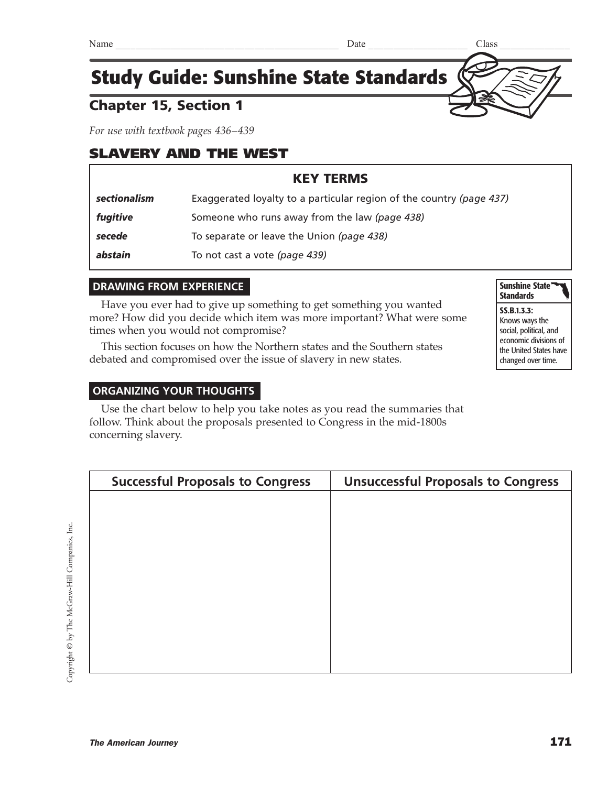## Chapter 15, Section 1

*For use with textbook pages 436–439*

## SLAVERY AND THE WEST

## KEY TERMS

| sectionalism | Exaggerated loyalty to a particular region of the country (page 437) |  |
|--------------|----------------------------------------------------------------------|--|
| fugitive     | Someone who runs away from the law (page 438)                        |  |
| secede       | To separate or leave the Union (page 438)                            |  |
| abstain      | To not cast a vote (page 439)                                        |  |

#### **DRAWING FROM EXPERIENCE**

Have you ever had to give up something to get something you wanted more? How did you decide which item was more important? What were some times when you would not compromise?

This section focuses on how the Northern states and the Southern states debated and compromised over the issue of slavery in new states.

#### **ORGANIZING YOUR THOUGHTS**

Use the chart below to help you take notes as you read the summaries that follow. Think about the proposals presented to Congress in the mid-1800s concerning slavery.

| <b>Successful Proposals to Congress</b> | <b>Unsuccessful Proposals to Congress</b> |
|-----------------------------------------|-------------------------------------------|
|                                         |                                           |
|                                         |                                           |
|                                         |                                           |
|                                         |                                           |
|                                         |                                           |
|                                         |                                           |
|                                         |                                           |
|                                         |                                           |
|                                         |                                           |
|                                         |                                           |

#### SS.B.1.3.3: Knows ways the social, political, and economic divisions of the United States have changed over time.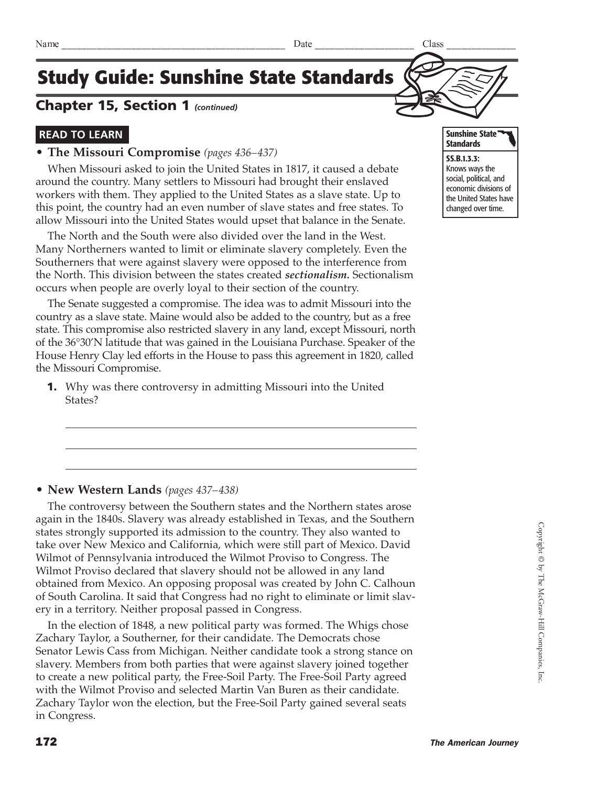### Chapter 15, Section 1 *(continued)*

### **READ TO LEARN**

#### **• The Missouri Compromise** *(pages 436–437)*

When Missouri asked to join the United States in 1817, it caused a debate around the country. Many settlers to Missouri had brought their enslaved workers with them. They applied to the United States as a slave state. Up to this point, the country had an even number of slave states and free states. To allow Missouri into the United States would upset that balance in the Senate.

The North and the South were also divided over the land in the West. Many Northerners wanted to limit or eliminate slavery completely. Even the Southerners that were against slavery were opposed to the interference from the North. This division between the states created *sectionalism.* Sectionalism occurs when people are overly loyal to their section of the country.

The Senate suggested a compromise. The idea was to admit Missouri into the country as a slave state. Maine would also be added to the country, but as a free state. This compromise also restricted slavery in any land, except Missouri, north of the 36°30'N latitude that was gained in the Louisiana Purchase. Speaker of the House Henry Clay led efforts in the House to pass this agreement in 1820, called the Missouri Compromise.

1. Why was there controversy in admitting Missouri into the United States?

#### **• New Western Lands** *(pages 437–438)*

The controversy between the Southern states and the Northern states arose again in the 1840s. Slavery was already established in Texas, and the Southern states strongly supported its admission to the country. They also wanted to take over New Mexico and California, which were still part of Mexico. David Wilmot of Pennsylvania introduced the Wilmot Proviso to Congress. The Wilmot Proviso declared that slavery should not be allowed in any land obtained from Mexico. An opposing proposal was created by John C. Calhoun of South Carolina. It said that Congress had no right to eliminate or limit slavery in a territory. Neither proposal passed in Congress.

In the election of 1848, a new political party was formed. The Whigs chose Zachary Taylor, a Southerner, for their candidate. The Democrats chose Senator Lewis Cass from Michigan. Neither candidate took a strong stance on slavery. Members from both parties that were against slavery joined together to create a new political party, the Free-Soil Party. The Free-Soil Party agreed with the Wilmot Proviso and selected Martin Van Buren as their candidate. Zachary Taylor won the election, but the Free-Soil Party gained several seats in Congress.



SS.B.1.3.3: Knows ways the social, political, and economic divisions of the United States have changed over time.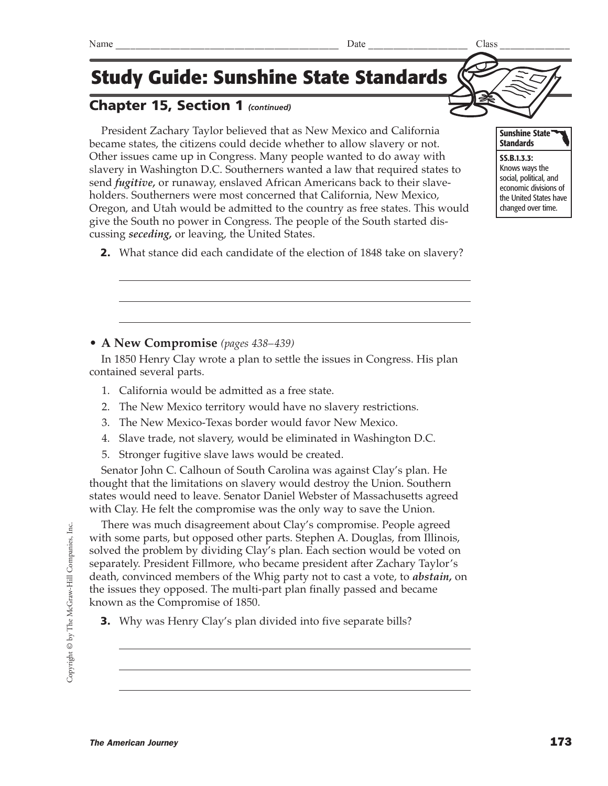## Chapter 15, Section 1 *(continued)*

President Zachary Taylor believed that as New Mexico and California became states, the citizens could decide whether to allow slavery or not. Other issues came up in Congress. Many people wanted to do away with slavery in Washington D.C. Southerners wanted a law that required states to send *fugitive,* or runaway, enslaved African Americans back to their slaveholders. Southerners were most concerned that California, New Mexico, Oregon, and Utah would be admitted to the country as free states. This would give the South no power in Congress. The people of the South started discussing *seceding,* or leaving, the United States.

**2.** What stance did each candidate of the election of 1848 take on slavery?

### **• A New Compromise** *(pages 438–439)*

In 1850 Henry Clay wrote a plan to settle the issues in Congress. His plan contained several parts.

- 1. California would be admitted as a free state.
- 2. The New Mexico territory would have no slavery restrictions.
- 3. The New Mexico-Texas border would favor New Mexico.
- 4. Slave trade, not slavery, would be eliminated in Washington D.C.
- 5. Stronger fugitive slave laws would be created.

Senator John C. Calhoun of South Carolina was against Clay's plan. He thought that the limitations on slavery would destroy the Union. Southern states would need to leave. Senator Daniel Webster of Massachusetts agreed with Clay. He felt the compromise was the only way to save the Union.

There was much disagreement about Clay's compromise. People agreed with some parts, but opposed other parts. Stephen A. Douglas, from Illinois, solved the problem by dividing Clay's plan. Each section would be voted on separately. President Fillmore, who became president after Zachary Taylor's death, convinced members of the Whig party not to cast a vote, to *abstain,* on the issues they opposed. The multi-part plan finally passed and became known as the Compromise of 1850.

**3.** Why was Henry Clay's plan divided into five separate bills?



social, political, and economic divisions of the United States have changed over time.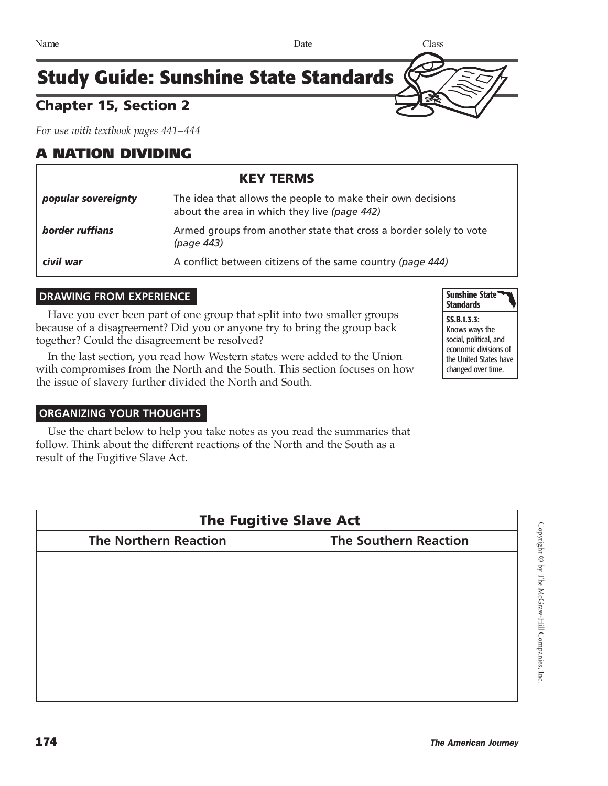## Chapter 15, Section 2

*For use with textbook pages 441–444*

## A NATION DIVIDING

| <b>KEY TERMS</b>    |                                                                                                             |  |
|---------------------|-------------------------------------------------------------------------------------------------------------|--|
| popular sovereignty | The idea that allows the people to make their own decisions<br>about the area in which they live (page 442) |  |
| border ruffians     | Armed groups from another state that cross a border solely to vote<br>(page 443)                            |  |
| civil war           | A conflict between citizens of the same country (page 444)                                                  |  |

#### **DRAWING FROM EXPERIENCE**

Have you ever been part of one group that split into two smaller groups because of a disagreement? Did you or anyone try to bring the group back together? Could the disagreement be resolved?

In the last section, you read how Western states were added to the Union with compromises from the North and the South. This section focuses on how the issue of slavery further divided the North and South.



SS.B.1.3.3: Knows ways the social, political, and economic divisions of the United States have changed over time.

#### **ORGANIZING YOUR THOUGHTS**

Use the chart below to help you take notes as you read the summaries that follow. Think about the different reactions of the North and the South as a result of the Fugitive Slave Act.

| <b>The Fugitive Slave Act</b> |                              |  |  |  |
|-------------------------------|------------------------------|--|--|--|
| <b>The Northern Reaction</b>  | <b>The Southern Reaction</b> |  |  |  |
|                               |                              |  |  |  |
|                               |                              |  |  |  |
|                               |                              |  |  |  |
|                               |                              |  |  |  |
|                               |                              |  |  |  |
|                               |                              |  |  |  |
|                               |                              |  |  |  |

 $\operatorname{Copyright}$ © by The McGraw-Hill Companies, Inc Copyright © by The McGraw-Hill Companies, Inc.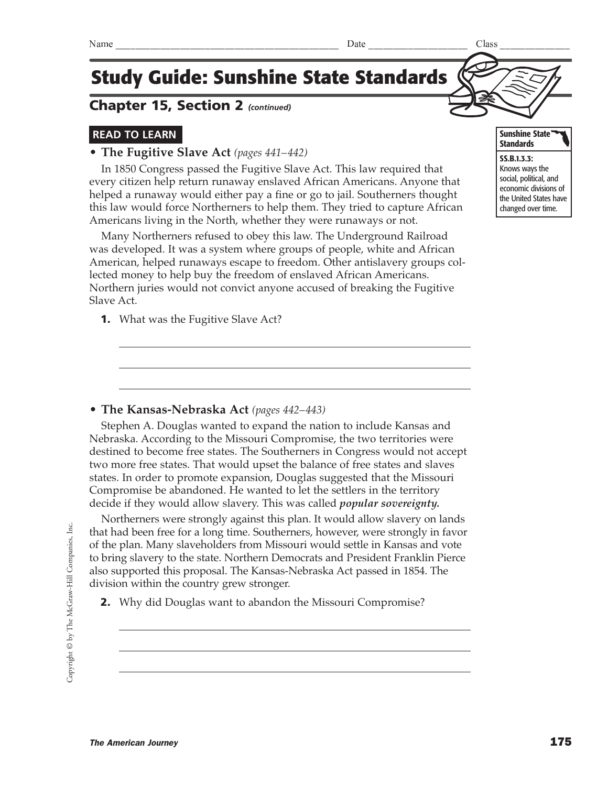Copyright © by The McGraw-Hill Companies, Inc. Copyright © by The McGraw-Hill Companies, Inc. **1.** What was the Fugitive Slave Act?

### **• The Kansas-Nebraska Act** *(pages 442–443)*

Stephen A. Douglas wanted to expand the nation to include Kansas and Nebraska. According to the Missouri Compromise, the two territories were destined to become free states. The Southerners in Congress would not accept two more free states. That would upset the balance of free states and slaves states. In order to promote expansion, Douglas suggested that the Missouri Compromise be abandoned. He wanted to let the settlers in the territory decide if they would allow slavery. This was called *popular sovereignty.*

Northerners were strongly against this plan. It would allow slavery on lands that had been free for a long time. Southerners, however, were strongly in favor of the plan. Many slaveholders from Missouri would settle in Kansas and vote to bring slavery to the state. Northern Democrats and President Franklin Pierce also supported this proposal. The Kansas-Nebraska Act passed in 1854. The division within the country grew stronger.

2. Why did Douglas want to abandon the Missouri Compromise?

# **Study Guide: Sunshine State Standards**

## Chapter 15, Section 2 *(continued)*

## **READ TO LEARN**

**• The Fugitive Slave Act** *(pages 441–442)*

In 1850 Congress passed the Fugitive Slave Act. This law required that every citizen help return runaway enslaved African Americans. Anyone that helped a runaway would either pay a fine or go to jail. Southerners thought this law would force Northerners to help them. They tried to capture African Americans living in the North, whether they were runaways or not.

Many Northerners refused to obey this law. The Underground Railroad was developed. It was a system where groups of people, white and African American, helped runaways escape to freedom. Other antislavery groups collected money to help buy the freedom of enslaved African Americans. Northern juries would not convict anyone accused of breaking the Fugitive Slave Act.



SS.B.1.3.3: Knows ways the social, political, and economic divisions of the United States have changed over time.

Sunshine State **Standards**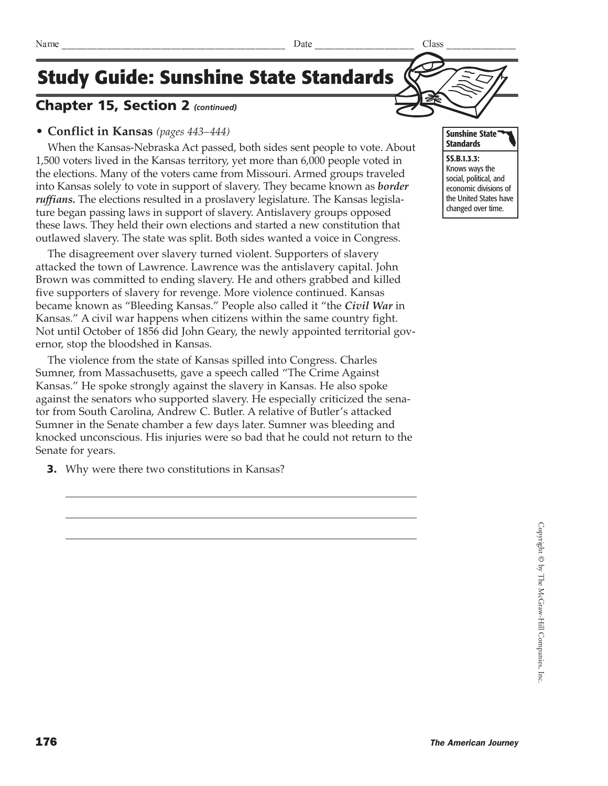## Chapter 15, Section 2 *(continued)*

### **• Conflict in Kansas** *(pages 443–444)*

When the Kansas-Nebraska Act passed, both sides sent people to vote. About 1,500 voters lived in the Kansas territory, yet more than 6,000 people voted in the elections. Many of the voters came from Missouri. Armed groups traveled into Kansas solely to vote in support of slavery. They became known as *border ruffians.* The elections resulted in a proslavery legislature. The Kansas legislature began passing laws in support of slavery. Antislavery groups opposed these laws. They held their own elections and started a new constitution that outlawed slavery. The state was split. Both sides wanted a voice in Congress.

The disagreement over slavery turned violent. Supporters of slavery attacked the town of Lawrence. Lawrence was the antislavery capital. John Brown was committed to ending slavery. He and others grabbed and killed five supporters of slavery for revenge. More violence continued. Kansas became known as "Bleeding Kansas." People also called it "the *Civil War* in Kansas." A civil war happens when citizens within the same country fight. Not until October of 1856 did John Geary, the newly appointed territorial governor, stop the bloodshed in Kansas.

The violence from the state of Kansas spilled into Congress. Charles Sumner, from Massachusetts, gave a speech called "The Crime Against Kansas." He spoke strongly against the slavery in Kansas. He also spoke against the senators who supported slavery. He especially criticized the senator from South Carolina, Andrew C. Butler. A relative of Butler's attacked Sumner in the Senate chamber a few days later. Sumner was bleeding and knocked unconscious. His injuries were so bad that he could not return to the Senate for years.

**3.** Why were there two constitutions in Kansas?





social, political, and economic divisions of the United States have changed over time.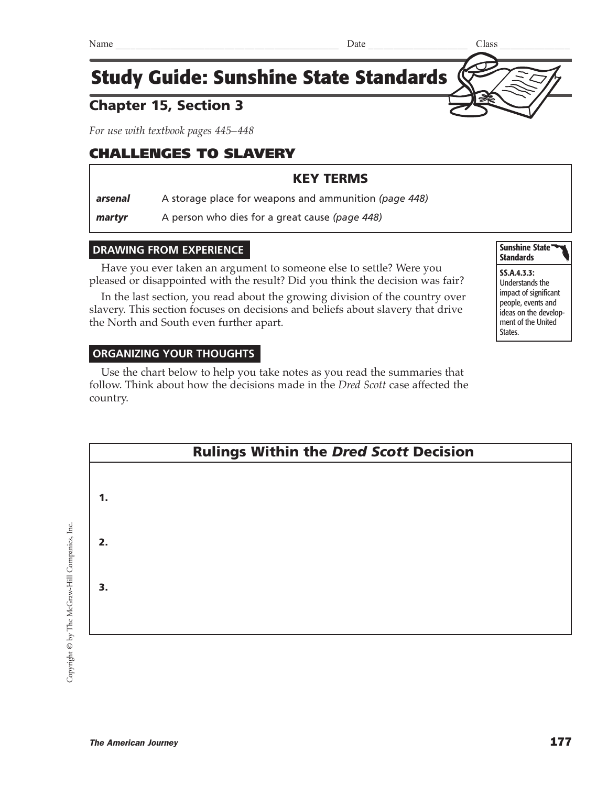## Chapter 15, Section 3

*For use with textbook pages 445–448*

## CHALLENGES TO SLAVERY

## KEY TERMS

*arsenal* A storage place for weapons and ammunition *(page 448)*

**martyr** A person who dies for a great cause (page 448)

#### **DRAWING FROM EXPERIENCE**

Have you ever taken an argument to someone else to settle? Were you pleased or disappointed with the result? Did you think the decision was fair?

In the last section, you read about the growing division of the country over slavery. This section focuses on decisions and beliefs about slavery that drive the North and South even further apart.

### **ORGANIZING YOUR THOUGHTS**

Use the chart below to help you take notes as you read the summaries that follow. Think about how the decisions made in the *Dred Scott* case affected the country.



Copyright © by The McGraw-Hill Companies, Inc. Copyright © by The McGraw-Hill Companies, Inc.

Sunshine State<sup>\*</sup> **Standards** 

SS.A.4.3.3:

Understands the impact of significant people, events and ideas on the development of the United States.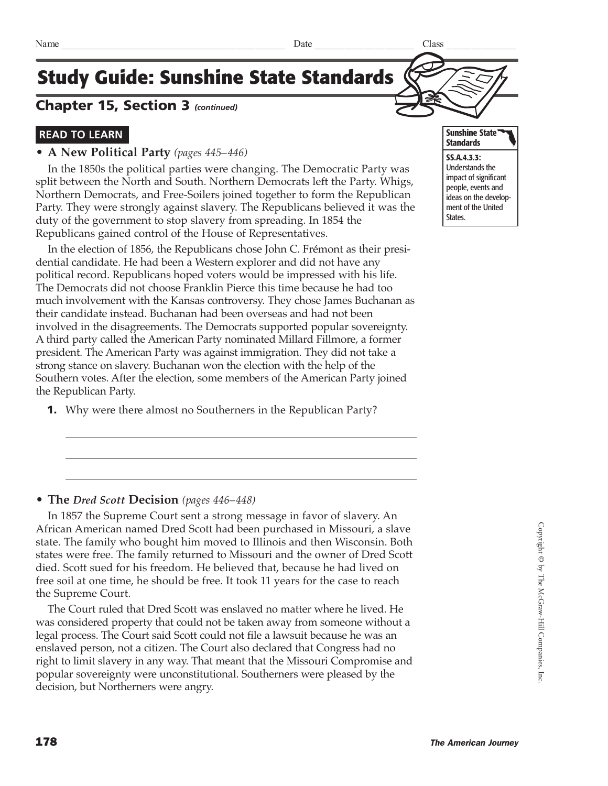## Chapter 15, Section 3 *(continued)*

### **READ TO LEARN**

#### **• A New Political Party** *(pages 445–446)*

In the 1850s the political parties were changing. The Democratic Party was split between the North and South. Northern Democrats left the Party. Whigs, Northern Democrats, and Free-Soilers joined together to form the Republican Party. They were strongly against slavery. The Republicans believed it was the duty of the government to stop slavery from spreading. In 1854 the Republicans gained control of the House of Representatives.

In the election of 1856, the Republicans chose John C. Frémont as their presidential candidate. He had been a Western explorer and did not have any political record. Republicans hoped voters would be impressed with his life. The Democrats did not choose Franklin Pierce this time because he had too much involvement with the Kansas controversy. They chose James Buchanan as their candidate instead. Buchanan had been overseas and had not been involved in the disagreements. The Democrats supported popular sovereignty. A third party called the American Party nominated Millard Fillmore, a former president. The American Party was against immigration. They did not take a strong stance on slavery. Buchanan won the election with the help of the Southern votes. After the election, some members of the American Party joined the Republican Party.

**1.** Why were there almost no Southerners in the Republican Party?

#### **• The** *Dred Scott* **Decision** *(pages 446–448)*

In 1857 the Supreme Court sent a strong message in favor of slavery. An African American named Dred Scott had been purchased in Missouri, a slave state. The family who bought him moved to Illinois and then Wisconsin. Both states were free. The family returned to Missouri and the owner of Dred Scott died. Scott sued for his freedom. He believed that, because he had lived on free soil at one time, he should be free. It took 11 years for the case to reach the Supreme Court.

The Court ruled that Dred Scott was enslaved no matter where he lived. He was considered property that could not be taken away from someone without a legal process. The Court said Scott could not file a lawsuit because he was an enslaved person, not a citizen. The Court also declared that Congress had no right to limit slavery in any way. That meant that the Missouri Compromise and popular sovereignty were unconstitutional. Southerners were pleased by the decision, but Northerners were angry.

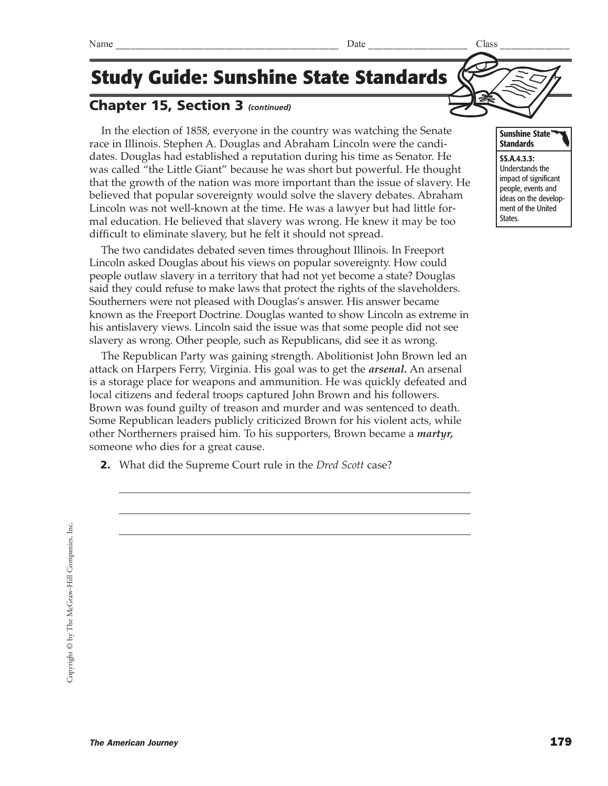## Chapter 15, Section 3 *(continued)*

In the election of 1858, everyone in the country was watching the Senate race in Illinois. Stephen A. Douglas and Abraham Lincoln were the candidates. Douglas had established a reputation during his time as Senator. He was called "the Little Giant" because he was short but powerful. He thought that the growth of the nation was more important than the issue of slavery. He believed that popular sovereignty would solve the slavery debates. Abraham Lincoln was not well-known at the time. He was a lawyer but had little formal education. He believed that slavery was wrong. He knew it may be too difficult to eliminate slavery, but he felt it should not spread.

The two candidates debated seven times throughout Illinois. In Freeport Lincoln asked Douglas about his views on popular sovereignty. How could people outlaw slavery in a territory that had not yet become a state? Douglas said they could refuse to make laws that protect the rights of the slaveholders. Southerners were not pleased with Douglas's answer. His answer became known as the Freeport Doctrine. Douglas wanted to show Lincoln as extreme in his antislavery views. Lincoln said the issue was that some people did not see slavery as wrong. Other people, such as Republicans, did see it as wrong.

The Republican Party was gaining strength. Abolitionist John Brown led an attack on Harpers Ferry, Virginia. His goal was to get the *arsenal.* An arsenal is a storage place for weapons and ammunition. He was quickly defeated and local citizens and federal troops captured John Brown and his followers. Brown was found guilty of treason and murder and was sentenced to death. Some Republican leaders publicly criticized Brown for his violent acts, while other Northerners praised him. To his supporters, Brown became a *martyr,* someone who dies for a great cause.

2. What did the Supreme Court rule in the *Dred Scott* case?

SS.A.4.3.3: Understands the impact of significant people, events and ideas on the development of the United States.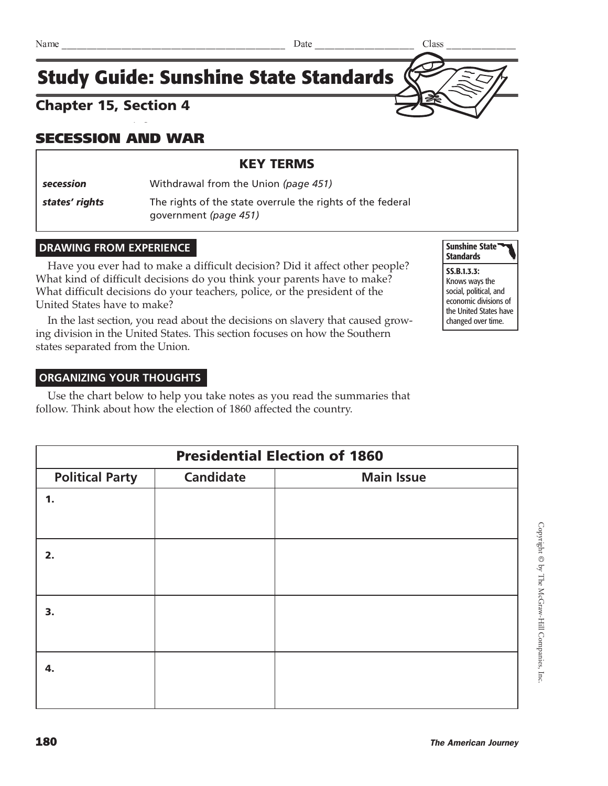#### *For use with textbook pages 449–453* Chapter 15, Section 4

## SECESSION AND WAR

### KEY TERMS

*secession* Withdrawal from the Union *(page 451)*

**states' rights** The rights of the state overrule the rights of the federal government *(page 451)*

### **DRAWING FROM EXPERIENCE**

Have you ever had to make a difficult decision? Did it affect other people? What kind of difficult decisions do you think your parents have to make? What difficult decisions do your teachers, police, or the president of the United States have to make?

In the last section, you read about the decisions on slavery that caused growing division in the United States. This section focuses on how the Southern states separated from the Union.

#### **ORGANIZING YOUR THOUGHTS**

Use the chart below to help you take notes as you read the summaries that follow. Think about how the election of 1860 affected the country.

| <b>Presidential Election of 1860</b> |                  |                   |  |  |
|--------------------------------------|------------------|-------------------|--|--|
| <b>Political Party</b>               | <b>Candidate</b> | <b>Main Issue</b> |  |  |
| 1.                                   |                  |                   |  |  |
|                                      |                  |                   |  |  |
|                                      |                  |                   |  |  |
| 2.                                   |                  |                   |  |  |
|                                      |                  |                   |  |  |
| 3.                                   |                  |                   |  |  |
|                                      |                  |                   |  |  |
|                                      |                  |                   |  |  |
| 4.                                   |                  |                   |  |  |
|                                      |                  |                   |  |  |
|                                      |                  |                   |  |  |

Sunshine State **Standards** 

SS.B.1.3.3: Knows ways the social, political, and economic divisions of the United States have changed over time.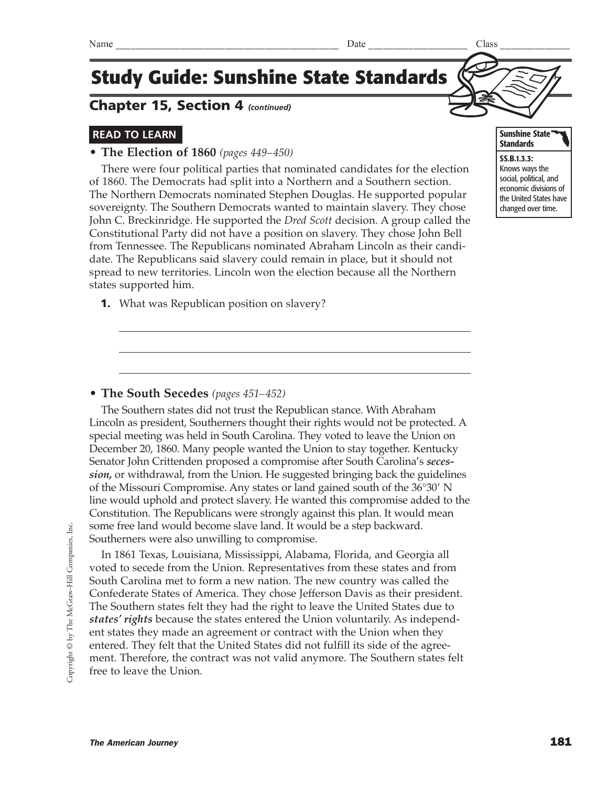## Chapter 15, Section 4 *(continued)*

### **READ TO LEARN**

#### **• The Election of 1860** *(pages 449–450)*

There were four political parties that nominated candidates for the election of 1860. The Democrats had split into a Northern and a Southern section. The Northern Democrats nominated Stephen Douglas. He supported popular sovereignty. The Southern Democrats wanted to maintain slavery. They chose John C. Breckinridge. He supported the *Dred Scott* decision. A group called the Constitutional Party did not have a position on slavery. They chose John Bell from Tennessee. The Republicans nominated Abraham Lincoln as their candidate. The Republicans said slavery could remain in place, but it should not spread to new territories. Lincoln won the election because all the Northern states supported him.

**1.** What was Republican position on slavery?



Knows ways the social, political, and economic divisions of the United States have changed over time.

#### **• The South Secedes** *(pages 451–452)*

The Southern states did not trust the Republican stance. With Abraham Lincoln as president, Southerners thought their rights would not be protected. A special meeting was held in South Carolina. They voted to leave the Union on December 20, 1860. Many people wanted the Union to stay together. Kentucky Senator John Crittenden proposed a compromise after South Carolina's *secession,* or withdrawal, from the Union. He suggested bringing back the guidelines of the Missouri Compromise. Any states or land gained south of the  $36^{\circ}30'$  N line would uphold and protect slavery. He wanted this compromise added to the Constitution. The Republicans were strongly against this plan. It would mean some free land would become slave land. It would be a step backward. Southerners were also unwilling to compromise.

In 1861 Texas, Louisiana, Mississippi, Alabama, Florida, and Georgia all voted to secede from the Union. Representatives from these states and from South Carolina met to form a new nation. The new country was called the Confederate States of America. They chose Jefferson Davis as their president. The Southern states felt they had the right to leave the United States due to *states' rights* because the states entered the Union voluntarily. As independent states they made an agreement or contract with the Union when they entered. They felt that the United States did not fulfill its side of the agreement. Therefore, the contract was not valid anymore. The Southern states felt free to leave the Union.